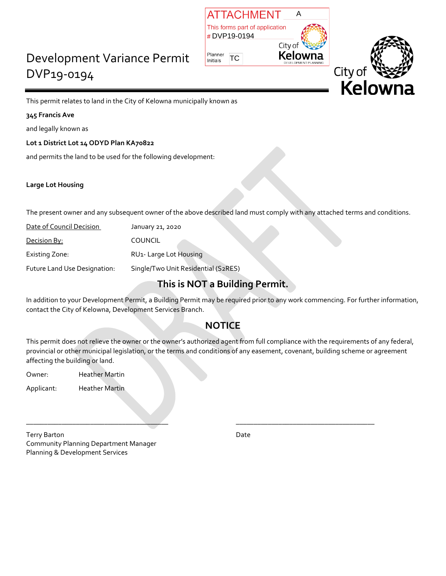# Development Variance Permit DVP19-0194





This permit relates to land in the City of Kelowna municipally known as

### **345 Francis Ave**

and legally known as

**Lot 1 District Lot 14 ODYD Plan KA70822**

and permits the land to be used for the following development:

### **Large Lot Housing**

The present owner and any subsequent owner of the above described land must comply with any attached terms and conditions.

| Date of Council Decision     | January 21, 2020                    |
|------------------------------|-------------------------------------|
| Decision By:                 | <b>COUNCIL</b>                      |
| Existing Zone:               | RU1- Large Lot Housing              |
| Future Land Use Designation: | Single/Two Unit Residential (S2RES) |

## **This is NOT a Building Permit.**

In addition to your Development Permit, a Building Permit may be required prior to any work commencing. For further information, contact the City of Kelowna, Development Services Branch.

# **NOTICE**

This permit does not relieve the owner or the owner's authorized agent from full compliance with the requirements of any federal, provincial or other municipal legislation, or the terms and conditions of any easement, covenant, building scheme or agreement affecting the building or land.

\_\_\_\_\_\_\_\_\_\_\_\_\_\_\_\_\_\_\_\_\_\_\_\_\_\_\_\_\_\_\_\_\_\_\_\_\_\_\_\_ \_\_\_\_\_\_\_\_\_\_\_\_\_\_\_\_\_\_\_\_\_\_\_\_\_\_\_\_\_\_\_\_\_\_\_\_\_\_\_

Owner: Heather Martin

Applicant: Heather Martin

Terry Barton Date **Date** Community Planning Department Manager Planning & Development Services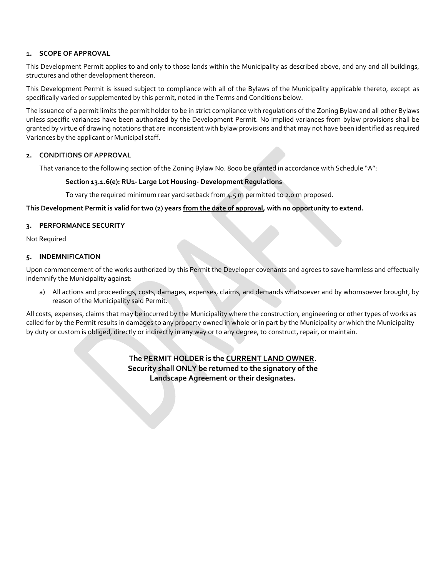#### **1. SCOPE OF APPROVAL**

This Development Permit applies to and only to those lands within the Municipality as described above, and any and all buildings, structures and other development thereon.

This Development Permit is issued subject to compliance with all of the Bylaws of the Municipality applicable thereto, except as specifically varied or supplemented by this permit, noted in the Terms and Conditions below.

The issuance of a permit limits the permit holder to be in strict compliance with regulations of the Zoning Bylaw and all other Bylaws unless specific variances have been authorized by the Development Permit. No implied variances from bylaw provisions shall be granted by virtue of drawing notations that are inconsistent with bylaw provisions and that may not have been identified as required Variances by the applicant or Municipal staff.

#### **2. CONDITIONS OF APPROVAL**

That variance to the following section of the Zoning Bylaw No. 8000 be granted in accordance with Schedule "A":

#### **Section 13.1.6(e): RU1- Large Lot Housing- Development Regulations**

To vary the required minimum rear yard setback from 4.5 m permitted to 2.0 m proposed.

#### **This Development Permit is valid for two (2) years from the date of approval, with no opportunity to extend.**

#### **3. PERFORMANCE SECURITY**

Not Required

#### **5. INDEMNIFICATION**

Upon commencement of the works authorized by this Permit the Developer covenants and agrees to save harmless and effectually indemnify the Municipality against:

a) All actions and proceedings, costs, damages, expenses, claims, and demands whatsoever and by whomsoever brought, by reason of the Municipality said Permit.

All costs, expenses, claims that may be incurred by the Municipality where the construction, engineering or other types of works as called for by the Permit results in damages to any property owned in whole or in part by the Municipality or which the Municipality by duty or custom is obliged, directly or indirectly in any way or to any degree, to construct, repair, or maintain.

> **The PERMIT HOLDER is the CURRENT LAND OWNER. Security shall ONLY be returned to the signatory of the Landscape Agreement or their designates.**